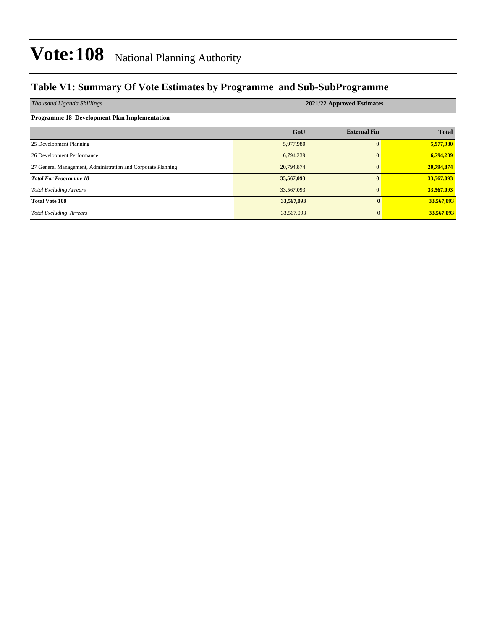### **Table V1: Summary Of Vote Estimates by Programme and Sub-SubProgramme**

| Thousand Uganda Shillings                                    | 2021/22 Approved Estimates |                     |              |  |  |  |  |  |
|--------------------------------------------------------------|----------------------------|---------------------|--------------|--|--|--|--|--|
| Programme 18 Development Plan Implementation                 |                            |                     |              |  |  |  |  |  |
|                                                              | GoU                        | <b>External Fin</b> | <b>Total</b> |  |  |  |  |  |
| 25 Development Planning                                      | 5,977,980                  | $\Omega$            | 5,977,980    |  |  |  |  |  |
| 26 Development Performance                                   | 6,794,239                  | $\Omega$            | 6,794,239    |  |  |  |  |  |
| 27 General Management, Administration and Corporate Planning | 20,794,874                 | $\Omega$            | 20,794,874   |  |  |  |  |  |
| <b>Total For Programme 18</b>                                | 33,567,093                 | 0                   | 33,567,093   |  |  |  |  |  |
| <b>Total Excluding Arrears</b>                               | 33,567,093                 | $\mathbf{0}$        | 33,567,093   |  |  |  |  |  |
| <b>Total Vote 108</b>                                        | 33,567,093                 | $\mathbf{0}$        | 33,567,093   |  |  |  |  |  |
| <b>Total Excluding Arrears</b>                               | 33,567,093                 | $\mathbf{0}$        | 33,567,093   |  |  |  |  |  |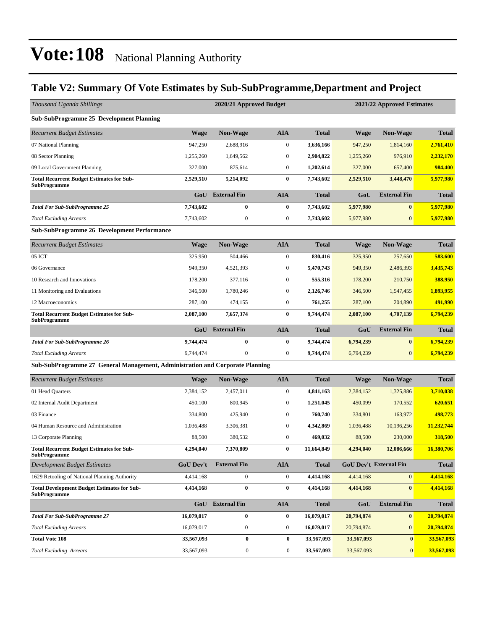### **Table V2: Summary Of Vote Estimates by Sub-SubProgramme,Department and Project**

| Thousand Uganda Shillings                                                     |                  | 2020/21 Approved Budget |                  |              | 2021/22 Approved Estimates |                        |              |  |
|-------------------------------------------------------------------------------|------------------|-------------------------|------------------|--------------|----------------------------|------------------------|--------------|--|
| <b>Sub-SubProgramme 25 Development Planning</b>                               |                  |                         |                  |              |                            |                        |              |  |
| <b>Recurrent Budget Estimates</b>                                             | <b>Wage</b>      | <b>Non-Wage</b>         | <b>AIA</b>       | <b>Total</b> | <b>Wage</b>                | <b>Non-Wage</b>        | <b>Total</b> |  |
| 07 National Planning                                                          | 947.250          | 2,688,916               | $\boldsymbol{0}$ | 3,636,166    | 947,250                    | 1,814,160              | 2,761,410    |  |
| 08 Sector Planning                                                            | 1,255,260        | 1,649,562               | $\boldsymbol{0}$ | 2,904,822    | 1,255,260                  | 976,910                | 2,232,170    |  |
| 09 Local Government Planning                                                  | 327,000          | 875,614                 | $\mathbf{0}$     | 1,202,614    | 327,000                    | 657,400                | 984,400      |  |
| <b>Total Recurrent Budget Estimates for Sub-</b><br><b>SubProgramme</b>       | 2,529,510        | 5,214,092               | $\bf{0}$         | 7,743,602    | 2,529,510                  | 3,448,470              | 5,977,980    |  |
|                                                                               | GoU              | <b>External Fin</b>     | <b>AIA</b>       | <b>Total</b> | GoU                        | <b>External Fin</b>    | <b>Total</b> |  |
| <b>Total For Sub-SubProgramme 25</b>                                          | 7,743,602        | $\bf{0}$                | $\bf{0}$         | 7,743,602    | 5,977,980                  | $\bf{0}$               | 5,977,980    |  |
| <b>Total Excluding Arrears</b>                                                | 7,743,602        | $\boldsymbol{0}$        | $\boldsymbol{0}$ | 7,743,602    | 5,977,980                  | $\mathbf{0}$           | 5,977,980    |  |
| <b>Sub-SubProgramme 26 Development Performance</b>                            |                  |                         |                  |              |                            |                        |              |  |
| <b>Recurrent Budget Estimates</b>                                             | <b>Wage</b>      | <b>Non-Wage</b>         | <b>AIA</b>       | <b>Total</b> | <b>Wage</b>                | <b>Non-Wage</b>        | <b>Total</b> |  |
| 05 ICT                                                                        | 325,950          | 504,466                 | $\boldsymbol{0}$ | 830,416      | 325,950                    | 257,650                | 583,600      |  |
| 06 Governance                                                                 | 949,350          | 4.521.393               | $\boldsymbol{0}$ | 5,470,743    | 949,350                    | 2,486,393              | 3,435,743    |  |
| 10 Research and Innovations                                                   | 178,200          | 377,116                 | $\boldsymbol{0}$ | 555,316      | 178,200                    | 210,750                | 388,950      |  |
| 11 Monitoring and Evaluations                                                 | 346,500          | 1,780,246               | $\boldsymbol{0}$ | 2,126,746    | 346,500                    | 1,547,455              | 1,893,955    |  |
| 12 Macroeconomics                                                             | 287,100          | 474,155                 | $\boldsymbol{0}$ | 761,255      | 287,100                    | 204,890                | 491,990      |  |
| <b>Total Recurrent Budget Estimates for Sub-</b><br><b>SubProgramme</b>       | 2,087,100        | 7,657,374               | $\bf{0}$         | 9,744,474    | 2,087,100                  | 4,707,139              | 6,794,239    |  |
|                                                                               | GoU              | <b>External Fin</b>     | <b>AIA</b>       | <b>Total</b> | GoU                        | <b>External Fin</b>    | <b>Total</b> |  |
| <b>Total For Sub-SubProgramme 26</b>                                          | 9,744,474        | $\bf{0}$                | $\bf{0}$         | 9,744,474    | 6,794,239                  | $\bf{0}$               | 6,794,239    |  |
| <b>Total Excluding Arrears</b>                                                | 9,744,474        | $\boldsymbol{0}$        | $\mathbf{0}$     | 9,744,474    | 6,794,239                  | $\mathbf{0}$           | 6,794,239    |  |
| Sub-SubProgramme 27 General Management, Administration and Corporate Planning |                  |                         |                  |              |                            |                        |              |  |
| <b>Recurrent Budget Estimates</b>                                             | Wage             | <b>Non-Wage</b>         | <b>AIA</b>       | <b>Total</b> | <b>Wage</b>                | <b>Non-Wage</b>        | <b>Total</b> |  |
| 01 Head Quarters                                                              | 2,384,152        | 2,457,011               | $\boldsymbol{0}$ | 4,841,163    | 2,384,152                  | 1,325,886              | 3,710,038    |  |
| 02 Internal Audit Department                                                  | 450,100          | 800,945                 | $\boldsymbol{0}$ | 1,251,045    | 450,099                    | 170,552                | 620,651      |  |
| 03 Finance                                                                    | 334,800          | 425,940                 | $\boldsymbol{0}$ | 760,740      | 334,801                    | 163,972                | 498,773      |  |
| 04 Human Resource and Administration                                          | 1,036,488        | 3,306,381               | $\boldsymbol{0}$ | 4,342,869    | 1,036,488                  | 10,196,256             | 11,232,744   |  |
| 13 Corporate Planning                                                         | 88,500           | 380,532                 | $\boldsymbol{0}$ | 469,032      | 88,500                     | 230,000                | 318,500      |  |
| <b>Total Recurrent Budget Estimates for Sub-</b><br><b>SubProgramme</b>       | 4,294,040        | 7,370,809               | $\bf{0}$         | 11,664,849   | 4,294,040                  | 12,086,666             | 16,380,706   |  |
| Development Budget Estimates                                                  | <b>GoU Dev't</b> | <b>External Fin</b>     | <b>AIA</b>       | <b>Total</b> |                            | GoU Dev't External Fin | <b>Total</b> |  |
| 1629 Retooling of National Planning Authority                                 | 4,414,168        | $\boldsymbol{0}$        | $\boldsymbol{0}$ | 4,414,168    | 4,414,168                  | $\boldsymbol{0}$       | 4,414,168    |  |
| <b>Total Development Budget Estimates for Sub-</b><br><b>SubProgramme</b>     | 4,414,168        | $\bf{0}$                | $\bf{0}$         | 4,414,168    | 4,414,168                  | $\bf{0}$               | 4,414,168    |  |
|                                                                               |                  | <b>GoU</b> External Fin | <b>AIA</b>       | <b>Total</b> | GoU                        | <b>External Fin</b>    | <b>Total</b> |  |
| <b>Total For Sub-SubProgramme 27</b>                                          | 16,079,017       | $\pmb{0}$               | $\bf{0}$         | 16,079,017   | 20,794,874                 | $\pmb{0}$              | 20,794,874   |  |
| <b>Total Excluding Arrears</b>                                                | 16,079,017       | $\boldsymbol{0}$        | $\bf{0}$         | 16,079,017   | 20,794,874                 | $\mathbf{0}$           | 20,794,874   |  |
| <b>Total Vote 108</b>                                                         | 33,567,093       | $\boldsymbol{0}$        | $\bf{0}$         | 33,567,093   | 33,567,093                 | $\bf{0}$               | 33,567,093   |  |
| <b>Total Excluding Arrears</b>                                                | 33,567,093       | $\boldsymbol{0}$        | $\boldsymbol{0}$ | 33,567,093   | 33,567,093                 | $\mathbf{0}$           | 33,567,093   |  |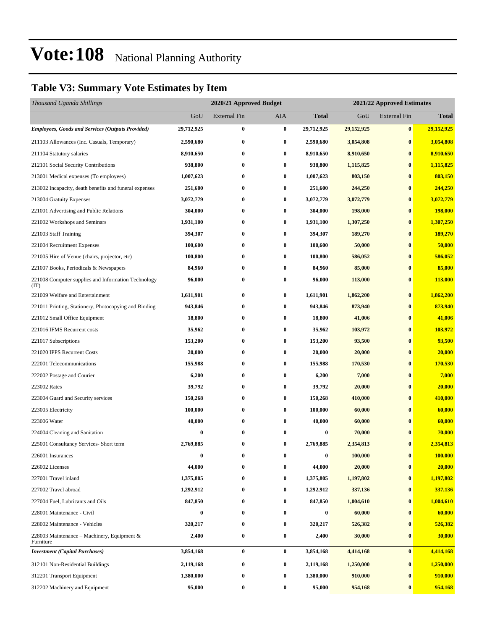### **Table V3: Summary Vote Estimates by Item**

| Thousand Uganda Shillings                                   |            | 2020/21 Approved Budget |          |                  | 2021/22 Approved Estimates |                     |                |
|-------------------------------------------------------------|------------|-------------------------|----------|------------------|----------------------------|---------------------|----------------|
|                                                             | GoU        | External Fin            | AIA      | <b>Total</b>     | GoU                        | <b>External Fin</b> | <b>Total</b>   |
| <b>Employees, Goods and Services (Outputs Provided)</b>     | 29,712,925 | 0                       | $\bf{0}$ | 29,712,925       | 29,152,925                 | $\bf{0}$            | 29,152,925     |
| 211103 Allowances (Inc. Casuals, Temporary)                 | 2,590,680  | 0                       | $\bf{0}$ | 2,590,680        | 3,054,808                  | $\bf{0}$            | 3,054,808      |
| 211104 Statutory salaries                                   | 8,910,650  | 0                       | $\bf{0}$ | 8,910,650        | 8,910,650                  | $\boldsymbol{0}$    | 8,910,650      |
| 212101 Social Security Contributions                        | 938,800    | 0                       | $\bf{0}$ | 938,800          | 1,115,825                  | $\bf{0}$            | 1,115,825      |
| 213001 Medical expenses (To employees)                      | 1,007,623  | $\bf{0}$                | $\bf{0}$ | 1,007,623        | 803,150                    | $\bf{0}$            | 803,150        |
| 213002 Incapacity, death benefits and funeral expenses      | 251,600    | 0                       | $\bf{0}$ | 251,600          | 244,250                    | $\bf{0}$            | 244,250        |
| 213004 Gratuity Expenses                                    | 3,072,779  | 0                       | $\bf{0}$ | 3,072,779        | 3,072,779                  | $\bf{0}$            | 3,072,779      |
| 221001 Advertising and Public Relations                     | 304,000    | $\bf{0}$                | $\bf{0}$ | 304,000          | 198,000                    | $\bf{0}$            | <b>198,000</b> |
| 221002 Workshops and Seminars                               | 1,931,100  | 0                       | $\bf{0}$ | 1,931,100        | 1,307,250                  | $\bf{0}$            | 1,307,250      |
| 221003 Staff Training                                       | 394,307    | $\bf{0}$                | $\bf{0}$ | 394,307          | 189,270                    | $\bf{0}$            | 189,270        |
| 221004 Recruitment Expenses                                 | 100,600    | 0                       | $\bf{0}$ | 100,600          | 50,000                     | $\bf{0}$            | 50,000         |
| 221005 Hire of Venue (chairs, projector, etc)               | 100,800    | 0                       | $\bf{0}$ | 100,800          | 586,052                    | $\bf{0}$            | 586,052        |
| 221007 Books, Periodicals & Newspapers                      | 84,960     | 0                       | $\bf{0}$ | 84,960           | 85,000                     | $\bf{0}$            | 85,000         |
| 221008 Computer supplies and Information Technology<br>(TT) | 96,000     | 0                       | $\bf{0}$ | 96,000           | 113,000                    | $\bf{0}$            | 113,000        |
| 221009 Welfare and Entertainment                            | 1,611,901  | 0                       | $\bf{0}$ | 1,611,901        | 1,862,200                  | $\bf{0}$            | 1,862,200      |
| 221011 Printing, Stationery, Photocopying and Binding       | 943,846    | 0                       | $\bf{0}$ | 943,846          | 873,940                    | $\bf{0}$            | 873,940        |
| 221012 Small Office Equipment                               | 18,800     | 0                       | $\bf{0}$ | 18,800           | 41,006                     | $\bf{0}$            | 41,006         |
| 221016 IFMS Recurrent costs                                 | 35,962     | 0                       | $\bf{0}$ | 35,962           | 103,972                    | $\bf{0}$            | 103,972        |
| 221017 Subscriptions                                        | 153,200    | 0                       | $\bf{0}$ | 153,200          | 93,500                     | $\bf{0}$            | 93,500         |
| 221020 IPPS Recurrent Costs                                 | 20,000     | 0                       | $\bf{0}$ | 20,000           | 20,000                     | $\bf{0}$            | 20,000         |
| 222001 Telecommunications                                   | 155,988    | $\bf{0}$                | $\bf{0}$ | 155,988          | 170,530                    | $\bf{0}$            | 170,530        |
| 222002 Postage and Courier                                  | 6,200      | 0                       | $\bf{0}$ | 6,200            | 7,000                      | $\bf{0}$            | 7,000          |
| 223002 Rates                                                | 39,792     | 0                       | $\bf{0}$ | 39,792           | 20,000                     | $\bf{0}$            | 20,000         |
| 223004 Guard and Security services                          | 150,268    | 0                       | $\bf{0}$ | 150,268          | 410,000                    | $\bf{0}$            | 410,000        |
| 223005 Electricity                                          | 100,000    | 0                       | $\bf{0}$ | 100,000          | 60,000                     | $\bf{0}$            | 60,000         |
| 223006 Water                                                | 40,000     | 0                       | $\bf{0}$ | 40,000           | 60,000                     | $\bf{0}$            | 60,000         |
| 224004 Cleaning and Sanitation                              | 0          | 0                       | $\bf{0}$ | 0                | 70,000                     | $\bf{0}$            | 70,000         |
| 225001 Consultancy Services- Short term                     | 2,769,885  | 0                       | $\bf{0}$ | 2,769,885        | 2,354,813                  | $\bf{0}$            | 2,354,813      |
| 226001 Insurances                                           | $\bf{0}$   | 0                       | $\bf{0}$ | $\boldsymbol{0}$ | 100,000                    | $\boldsymbol{0}$    | 100,000        |
| 226002 Licenses                                             | 44,000     | 0                       | $\bf{0}$ | 44,000           | 20,000                     | $\bf{0}$            | 20,000         |
| 227001 Travel inland                                        | 1,375,805  | 0                       | $\bf{0}$ | 1,375,805        | 1,197,802                  | $\bf{0}$            | 1,197,802      |
| 227002 Travel abroad                                        | 1,292,912  | 0                       | $\bf{0}$ | 1,292,912        | 337,136                    | $\bf{0}$            | 337,136        |
| 227004 Fuel, Lubricants and Oils                            | 847,850    | 0                       | $\bf{0}$ | 847,850          | 1,004,610                  | $\bf{0}$            | 1,004,610      |
| 228001 Maintenance - Civil                                  | $\bf{0}$   | 0                       | $\bf{0}$ | $\bf{0}$         | 60,000                     | $\bf{0}$            | 60,000         |
| 228002 Maintenance - Vehicles                               | 320,217    | 0                       | $\bf{0}$ | 320,217          | 526,382                    | $\bf{0}$            | 526,382        |
| 228003 Maintenance – Machinery, Equipment &<br>Furniture    | 2,400      | 0                       | $\bf{0}$ | 2,400            | 30,000                     | $\bf{0}$            | 30,000         |
| <b>Investment</b> (Capital Purchases)                       | 3,854,168  | 0                       | $\bf{0}$ | 3,854,168        | 4,414,168                  | $\bf{0}$            | 4,414,168      |
| 312101 Non-Residential Buildings                            | 2,119,168  | 0                       | $\bf{0}$ | 2,119,168        | 1,250,000                  | $\bf{0}$            | 1,250,000      |
| 312201 Transport Equipment                                  | 1,380,000  | 0                       | $\bf{0}$ | 1,380,000        | 910,000                    | $\bf{0}$            | 910,000        |
| 312202 Machinery and Equipment                              | 95,000     | 0                       | $\bf{0}$ | 95,000           | 954,168                    | $\bf{0}$            | 954,168        |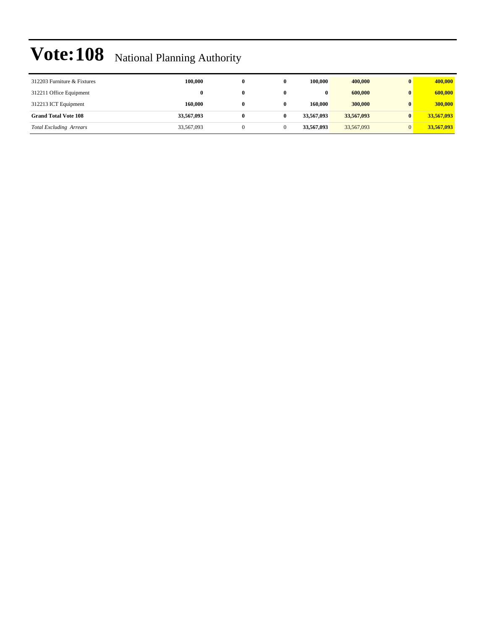| 312203 Furniture & Fixtures    | 100.000    | 0 | 100,000    | 400,000    | 400,000    |
|--------------------------------|------------|---|------------|------------|------------|
| 312211 Office Equipment        | 0          |   | 0          | 600,000    | 600,000    |
| 312213 ICT Equipment           | 160,000    | 0 | 160,000    | 300,000    | 300,000    |
| <b>Grand Total Vote 108</b>    | 33,567,093 |   | 33.567,093 | 33,567,093 | 33,567,093 |
| <b>Total Excluding Arrears</b> | 33,567,093 |   | 33,567,093 | 33,567,093 | 33,567,093 |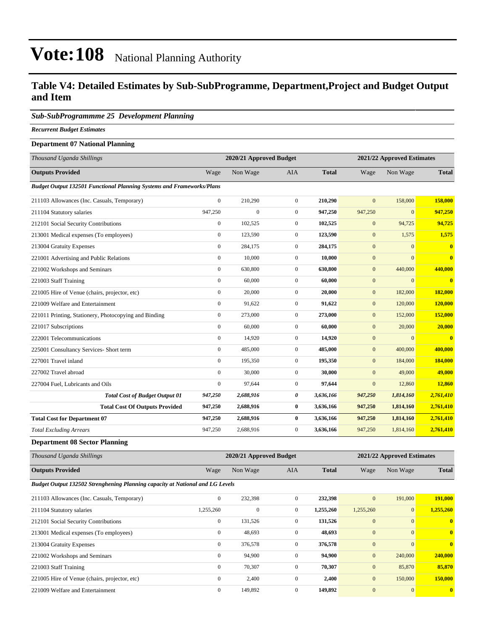#### **Table V4: Detailed Estimates by Sub-SubProgramme, Department,Project and Budget Output and Item**

#### *Sub-SubProgrammme 25 Development Planning*

*Recurrent Budget Estimates*

#### **Department 07 National Planning**

| Thousand Uganda Shillings                                                    |                  | 2020/21 Approved Budget |                  | 2021/22 Approved Estimates |              |              |                         |
|------------------------------------------------------------------------------|------------------|-------------------------|------------------|----------------------------|--------------|--------------|-------------------------|
| <b>Outputs Provided</b>                                                      | Wage             | Non Wage                | <b>AIA</b>       | <b>Total</b>               | Wage         | Non Wage     | <b>Total</b>            |
| <b>Budget Output 132501 Functional Planning Systems and Frameworks/Plans</b> |                  |                         |                  |                            |              |              |                         |
| 211103 Allowances (Inc. Casuals, Temporary)                                  | $\mathbf{0}$     | 210,290                 | $\overline{0}$   | 210,290                    | $\mathbf{0}$ | 158,000      | 158,000                 |
| 211104 Statutory salaries                                                    | 947,250          | $\boldsymbol{0}$        | $\boldsymbol{0}$ | 947,250                    | 947,250      | $\mathbf{0}$ | 947,250                 |
| 212101 Social Security Contributions                                         | $\boldsymbol{0}$ | 102,525                 | $\overline{0}$   | 102,525                    | $\mathbf{0}$ | 94,725       | 94,725                  |
| 213001 Medical expenses (To employees)                                       | $\mathbf{0}$     | 123,590                 | $\mathbf{0}$     | 123,590                    | $\mathbf{0}$ | 1,575        | 1,575                   |
| 213004 Gratuity Expenses                                                     | $\mathbf{0}$     | 284,175                 | $\mathbf{0}$     | 284,175                    | $\mathbf{0}$ | $\mathbf{0}$ | $\bf{0}$                |
| 221001 Advertising and Public Relations                                      | $\mathbf{0}$     | 10,000                  | $\mathbf{0}$     | 10,000                     | $\mathbf{0}$ | $\Omega$     | $\overline{0}$          |
| 221002 Workshops and Seminars                                                | $\mathbf{0}$     | 630,800                 | $\mathbf{0}$     | 630,800                    | $\mathbf{0}$ | 440,000      | 440,000                 |
| 221003 Staff Training                                                        | $\mathbf{0}$     | 60,000                  | $\mathbf{0}$     | 60,000                     | $\mathbf{0}$ | $\mathbf{0}$ | $\overline{\mathbf{0}}$ |
| 221005 Hire of Venue (chairs, projector, etc)                                | $\boldsymbol{0}$ | 20,000                  | $\mathbf{0}$     | 20,000                     | $\mathbf{0}$ | 182,000      | 182,000                 |
| 221009 Welfare and Entertainment                                             | $\mathbf{0}$     | 91,622                  | $\mathbf{0}$     | 91,622                     | $\mathbf{0}$ | 120,000      | 120,000                 |
| 221011 Printing, Stationery, Photocopying and Binding                        | $\mathbf{0}$     | 273,000                 | $\mathbf{0}$     | 273,000                    | $\mathbf{0}$ | 152,000      | 152,000                 |
| 221017 Subscriptions                                                         | $\mathbf{0}$     | 60,000                  | $\mathbf{0}$     | 60,000                     | $\mathbf{0}$ | 20,000       | 20,000                  |
| 222001 Telecommunications                                                    | $\mathbf{0}$     | 14,920                  | $\overline{0}$   | 14,920                     | $\mathbf{0}$ | $\mathbf{0}$ | $\overline{\mathbf{0}}$ |
| 225001 Consultancy Services- Short term                                      | $\boldsymbol{0}$ | 485,000                 | $\mathbf{0}$     | 485,000                    | $\mathbf{0}$ | 400,000      | 400,000                 |
| 227001 Travel inland                                                         | $\mathbf{0}$     | 195,350                 | $\mathbf{0}$     | 195,350                    | $\mathbf{0}$ | 184,000      | 184,000                 |
| 227002 Travel abroad                                                         | $\mathbf{0}$     | 30,000                  | $\boldsymbol{0}$ | 30,000                     | $\mathbf{0}$ | 49,000       | 49,000                  |
| 227004 Fuel, Lubricants and Oils                                             | $\mathbf{0}$     | 97,644                  | $\overline{0}$   | 97,644                     | $\mathbf{0}$ | 12,860       | 12,860                  |
| <b>Total Cost of Budget Output 01</b>                                        | 947,250          | 2,688,916               | 0                | 3,636,166                  | 947,250      | 1,814,160    | 2,761,410               |
| <b>Total Cost Of Outputs Provided</b>                                        | 947,250          | 2,688,916               | $\bf{0}$         | 3,636,166                  | 947,250      | 1,814,160    | 2,761,410               |
| <b>Total Cost for Department 07</b>                                          | 947,250          | 2,688,916               | $\bf{0}$         | 3,636,166                  | 947,250      | 1,814,160    | 2,761,410               |
| <b>Total Excluding Arrears</b>                                               | 947,250          | 2,688,916               | $\boldsymbol{0}$ | 3,636,166                  | 947,250      | 1,814,160    | 2,761,410               |

**Department 08 Sector Planning**

| Thousand Uganda Shillings                                                            | 2020/21 Approved Budget |          |     |              | 2021/22 Approved Estimates |          |              |  |
|--------------------------------------------------------------------------------------|-------------------------|----------|-----|--------------|----------------------------|----------|--------------|--|
| <b>Outputs Provided</b>                                                              | Wage                    | Non Wage | AIA | <b>Total</b> | Wage                       | Non Wage | <b>Total</b> |  |
| <b>Budget Output 132502 Strenghening Planning capacity at National and LG Levels</b> |                         |          |     |              |                            |          |              |  |

| 211103 Allowances (Inc. Casuals, Temporary)   | $\mathbf{0}$ | 232,398      | $\mathbf{0}$ | 232,398   | $\overline{0}$ | 191,000      | 191.000      |
|-----------------------------------------------|--------------|--------------|--------------|-----------|----------------|--------------|--------------|
| 211104 Statutory salaries                     | 1,255,260    | $\mathbf{0}$ | $\mathbf{0}$ | 1,255,260 | 1,255,260      | $\mathbf{0}$ | 1.255,260    |
| 212101 Social Security Contributions          | $\mathbf{0}$ | 131.526      | $\mathbf{0}$ | 131.526   | $\mathbf{0}$   | $\mathbf{0}$ | $\mathbf{0}$ |
| 213001 Medical expenses (To employees)        | $\mathbf{0}$ | 48,693       | $\mathbf{0}$ | 48,693    | $\mathbf{0}$   | $\Omega$     | $\mathbf{0}$ |
| 213004 Gratuity Expenses                      | $\mathbf{0}$ | 376,578      | $\mathbf{0}$ | 376,578   | $\mathbf{0}$   | $\Omega$     | $\mathbf{0}$ |
| 221002 Workshops and Seminars                 | $\mathbf{0}$ | 94,900       | $\mathbf{0}$ | 94,900    | $\mathbf{0}$   | 240,000      | 240,000      |
| 221003 Staff Training                         | $\Omega$     | 70,307       | $\mathbf{0}$ | 70.307    | $\mathbf{0}$   | 85,870       | 85,870       |
| 221005 Hire of Venue (chairs, projector, etc) | $\Omega$     | 2,400        | $\Omega$     | 2,400     | $\mathbf{0}$   | 150,000      | 150,000      |
| 221009 Welfare and Entertainment              | $\Omega$     | 149.892      | $\Omega$     | 149,892   | $\Omega$       | $\mathbf{0}$ | $\mathbf{0}$ |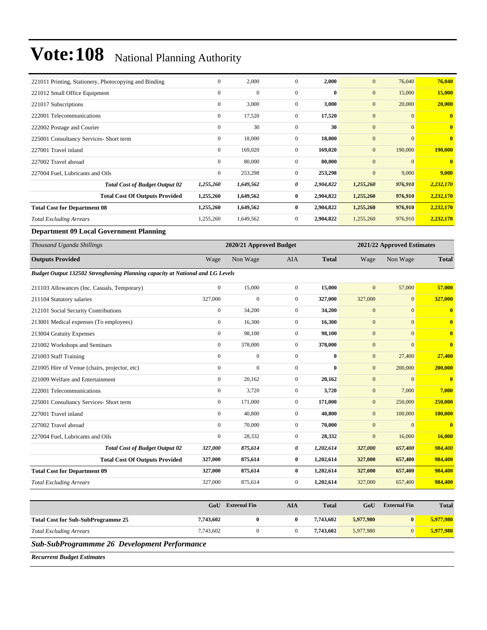| 221011 Printing, Stationery, Photocopying and Binding | $\overline{0}$   | 2,000        | $\overline{0}$ | 2,000     | $\mathbf{0}$ | 76,040       | 76,040       |
|-------------------------------------------------------|------------------|--------------|----------------|-----------|--------------|--------------|--------------|
| 221012 Small Office Equipment                         | $\mathbf{0}$     | $\mathbf{0}$ | $\mathbf{0}$   | $\bf{0}$  | $\mathbf{0}$ | 15,000       | 15,000       |
| 221017 Subscriptions                                  | $\boldsymbol{0}$ | 3,000        | $\mathbf{0}$   | 3,000     | $\mathbf{0}$ | 20,000       | 20,000       |
| 222001 Telecommunications                             | $\mathbf{0}$     | 17,520       | $\overline{0}$ | 17,520    | $\mathbf{0}$ | $\mathbf{0}$ | $\mathbf{0}$ |
| 222002 Postage and Courier                            | $\mathbf{0}$     | 30           | $\mathbf{0}$   | 30        | $\mathbf{0}$ | $\mathbf{0}$ | $\mathbf{0}$ |
| 225001 Consultancy Services- Short term               | $\mathbf{0}$     | 18,000       | $\overline{0}$ | 18,000    | $\mathbf{0}$ | $\mathbf{0}$ | $\bf{0}$     |
| 227001 Travel inland                                  | $\mathbf{0}$     | 169,020      | $\overline{0}$ | 169,020   | $\mathbf{0}$ | 190,000      | 190,000      |
| 227002 Travel abroad                                  | $\mathbf{0}$     | 80,000       | $\overline{0}$ | 80,000    | $\mathbf{0}$ | $\mathbf{0}$ | $\mathbf{0}$ |
| 227004 Fuel, Lubricants and Oils                      | $\mathbf{0}$     | 253,298      | $\overline{0}$ | 253,298   | $\mathbf{0}$ | 9,000        | 9,000        |
| <b>Total Cost of Budget Output 02</b>                 | 1,255,260        | 1,649,562    | 0              | 2,904,822 | 1,255,260    | 976,910      | 2,232,170    |
| <b>Total Cost Of Outputs Provided</b>                 | 1,255,260        | 1,649,562    | $\bf{0}$       | 2,904,822 | 1,255,260    | 976,910      | 2,232,170    |
| <b>Total Cost for Department 08</b>                   | 1,255,260        | 1,649,562    | $\bf{0}$       | 2,904,822 | 1,255,260    | 976,910      | 2,232,170    |
| <b>Total Excluding Arrears</b>                        | 1,255,260        | 1,649,562    | $\overline{0}$ | 2,904,822 | 1,255,260    | 976,910      | 2,232,170    |

**Department 09 Local Government Planning**

| Thousand Uganda Shillings                                                     |                  | 2020/21 Approved Budget |                |              |              | 2021/22 Approved Estimates |                         |
|-------------------------------------------------------------------------------|------------------|-------------------------|----------------|--------------|--------------|----------------------------|-------------------------|
| <b>Outputs Provided</b>                                                       | Wage             | Non Wage                | <b>AIA</b>     | <b>Total</b> | Wage         | Non Wage                   | <b>Total</b>            |
| Budget Output 132502 Strenghening Planning capacity at National and LG Levels |                  |                         |                |              |              |                            |                         |
| 211103 Allowances (Inc. Casuals, Temporary)                                   | $\mathbf{0}$     | 15,000                  | $\overline{0}$ | 15,000       | $\mathbf{0}$ | 57,000                     | 57,000                  |
| 211104 Statutory salaries                                                     | 327,000          | $\overline{0}$          | $\mathbf{0}$   | 327,000      | 327,000      | $\overline{0}$             | 327,000                 |
| 212101 Social Security Contributions                                          | $\overline{0}$   | 34,200                  | $\overline{0}$ | 34,200       | $\mathbf{0}$ | $\overline{0}$             | $\overline{\mathbf{0}}$ |
| 213001 Medical expenses (To employees)                                        | $\mathbf{0}$     | 16,300                  | $\mathbf{0}$   | 16,300       | $\mathbf{0}$ | $\overline{0}$             | $\overline{\mathbf{0}}$ |
| 213004 Gratuity Expenses                                                      | $\overline{0}$   | 98,100                  | $\mathbf{0}$   | 98,100       | $\mathbf{0}$ | $\overline{0}$             | $\bf{0}$                |
| 221002 Workshops and Seminars                                                 | $\boldsymbol{0}$ | 378,000                 | $\mathbf{0}$   | 378,000      | $\mathbf{0}$ | $\overline{0}$             | $\bf{0}$                |
| 221003 Staff Training                                                         | $\mathbf{0}$     | $\mathbf{0}$            | $\mathbf{0}$   | $\bf{0}$     | $\mathbf{0}$ | 27,400                     | 27,400                  |
| 221005 Hire of Venue (chairs, projector, etc)                                 | $\mathbf{0}$     | $\mathbf{0}$            | $\mathbf{0}$   | $\bf{0}$     | $\mathbf{0}$ | 200,000                    | 200,000                 |
| 221009 Welfare and Entertainment                                              | $\mathbf{0}$     | 20,162                  | $\mathbf{0}$   | 20,162       | $\mathbf{0}$ | $\overline{0}$             | $\overline{\mathbf{0}}$ |
| 222001 Telecommunications                                                     | $\mathbf{0}$     | 3,720                   | $\mathbf{0}$   | 3,720        | $\mathbf{0}$ | 7,000                      | 7,000                   |
| 225001 Consultancy Services- Short term                                       | $\overline{0}$   | 171,000                 | $\overline{0}$ | 171,000      | $\mathbf{0}$ | 250,000                    | 250,000                 |
| 227001 Travel inland                                                          | $\mathbf{0}$     | 40,800                  | $\mathbf{0}$   | 40,800       | $\mathbf{0}$ | 100,000                    | 100,000                 |
| 227002 Travel abroad                                                          | $\Omega$         | 70,000                  | $\overline{0}$ | 70,000       | $\mathbf{0}$ | $\overline{0}$             | $\mathbf{0}$            |
| 227004 Fuel, Lubricants and Oils                                              | $\mathbf{0}$     | 28,332                  | $\overline{0}$ | 28,332       | $\mathbf{0}$ | 16,000                     | 16,000                  |
| <b>Total Cost of Budget Output 02</b>                                         | 327,000          | 875,614                 | 0              | 1,202,614    | 327,000      | 657,400                    | 984,400                 |
| <b>Total Cost Of Outputs Provided</b>                                         | 327,000          | 875,614                 | $\bf{0}$       | 1,202,614    | 327,000      | 657,400                    | 984,400                 |
| <b>Total Cost for Department 09</b>                                           | 327,000          | 875,614                 | $\bf{0}$       | 1,202,614    | 327,000      | 657,400                    | 984,400                 |
| <b>Total Excluding Arrears</b>                                                | 327,000          | 875,614                 | $\mathbf{0}$   | 1,202,614    | 327,000      | 657,400                    | 984,400                 |

|                                           | GoU       | <b>External Fin</b> | AIA | <b>Total</b> | GoU       | <b>External Fin</b> | <b>Total</b> |
|-------------------------------------------|-----------|---------------------|-----|--------------|-----------|---------------------|--------------|
| <b>Total Cost for Sub-SubProgramme 25</b> | 7,743,602 |                     |     | 7.743.602    | 5,977,980 | $\mathbf{0}$        | 5,977,980    |
| <b>Total Excluding Arrears</b>            | 7,743,602 |                     |     | 7.743.602    | 5,977,980 |                     | 5,977,980    |

*Sub-SubProgrammme 26 Development Performance*

*Recurrent Budget Estimates*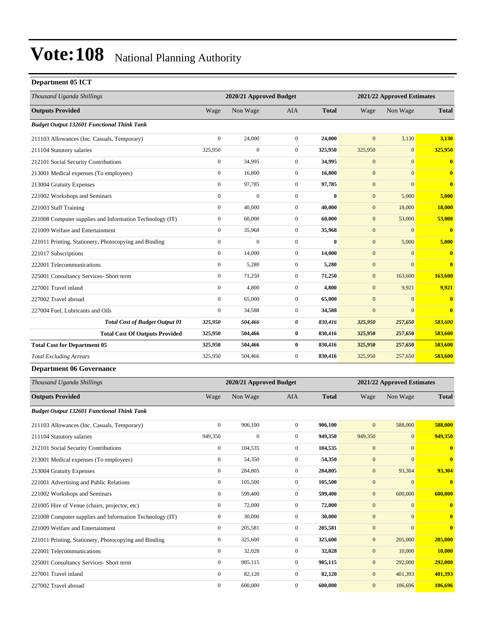#### **Department 05 ICT**

| Thousand Uganda Shillings                                |                  | 2020/21 Approved Budget |                  |              |                            | 2021/22 Approved Estimates |                  |
|----------------------------------------------------------|------------------|-------------------------|------------------|--------------|----------------------------|----------------------------|------------------|
| <b>Outputs Provided</b>                                  | Wage             | Non Wage                | AIA              | <b>Total</b> | Wage                       | Non Wage                   | <b>Total</b>     |
| <b>Budget Output 132601 Functional Think Tank</b>        |                  |                         |                  |              |                            |                            |                  |
| 211103 Allowances (Inc. Casuals, Temporary)              | $\boldsymbol{0}$ | 24,000                  | $\boldsymbol{0}$ | 24,000       | $\mathbf{0}$               | 3,130                      | 3,130            |
| 211104 Statutory salaries                                | 325,950          | $\boldsymbol{0}$        | $\boldsymbol{0}$ | 325,950      | 325,950                    | $\boldsymbol{0}$           | 325,950          |
| 212101 Social Security Contributions                     | $\boldsymbol{0}$ | 34,995                  | $\boldsymbol{0}$ | 34,995       | $\mathbf{0}$               | $\mathbf{0}$               | $\bf{0}$         |
| 213001 Medical expenses (To employees)                   | $\boldsymbol{0}$ | 16.800                  | $\boldsymbol{0}$ | 16,800       | $\mathbf{0}$               | $\mathbf{0}$               | $\bf{0}$         |
| 213004 Gratuity Expenses                                 | $\boldsymbol{0}$ | 97,785                  | $\mathbf{0}$     | 97,785       | $\mathbf{0}$               | $\boldsymbol{0}$           | $\bf{0}$         |
| 221002 Workshops and Seminars                            | $\boldsymbol{0}$ | $\boldsymbol{0}$        | $\boldsymbol{0}$ | $\bf{0}$     | $\boldsymbol{0}$           | 5,000                      | 5,000            |
| 221003 Staff Training                                    | $\boldsymbol{0}$ | 40,000                  | $\boldsymbol{0}$ | 40,000       | $\boldsymbol{0}$           | 18,000                     | 18,000           |
| 221008 Computer supplies and Information Technology (IT) | $\boldsymbol{0}$ | 60,000                  | $\boldsymbol{0}$ | 60,000       | $\mathbf{0}$               | 53,000                     | 53,000           |
| 221009 Welfare and Entertainment                         | $\boldsymbol{0}$ | 35,968                  | $\boldsymbol{0}$ | 35,968       | $\mathbf{0}$               | $\boldsymbol{0}$           | $\mathbf{0}$     |
| 221011 Printing, Stationery, Photocopying and Binding    | $\boldsymbol{0}$ | $\boldsymbol{0}$        | $\boldsymbol{0}$ | $\bf{0}$     | $\mathbf{0}$               | 5,000                      | 5,000            |
| 221017 Subscriptions                                     | $\boldsymbol{0}$ | 14,000                  | $\boldsymbol{0}$ | 14,000       | $\boldsymbol{0}$           | $\mathbf{0}$               | $\bf{0}$         |
| 222001 Telecommunications                                | $\boldsymbol{0}$ | 5,280                   | $\boldsymbol{0}$ | 5,280        | $\mathbf{0}$               | $\overline{0}$             | $\bf{0}$         |
| 225001 Consultancy Services- Short term                  | $\boldsymbol{0}$ | 71,250                  | $\boldsymbol{0}$ | 71,250       | $\mathbf{0}$               | 163,600                    | 163,600          |
| 227001 Travel inland                                     | $\boldsymbol{0}$ | 4,800                   | $\boldsymbol{0}$ | 4,800        | $\mathbf{0}$               | 9,921                      | 9,921            |
| 227002 Travel abroad                                     | $\boldsymbol{0}$ | 65,000                  | $\boldsymbol{0}$ | 65,000       | $\mathbf{0}$               | $\boldsymbol{0}$           | $\bf{0}$         |
| 227004 Fuel, Lubricants and Oils                         | $\boldsymbol{0}$ | 34,588                  | $\boldsymbol{0}$ | 34,588       | $\boldsymbol{0}$           | $\boldsymbol{0}$           | $\bf{0}$         |
| <b>Total Cost of Budget Output 01</b>                    | 325,950          | 504,466                 | 0                | 830,416      | 325,950                    | 257,650                    | 583,600          |
| <b>Total Cost Of Outputs Provided</b>                    | 325,950          | 504,466                 | 0                | 830,416      | 325,950                    | 257,650                    | 583,600          |
| <b>Total Cost for Department 05</b>                      | 325,950          | 504,466                 | $\bf{0}$         | 830,416      | 325,950                    | 257,650                    | 583,600          |
| <b>Total Excluding Arrears</b>                           | 325,950          | 504,466                 | $\boldsymbol{0}$ | 830,416      | 325,950                    | 257,650                    | 583,600          |
| <b>Department 06 Governance</b>                          |                  |                         |                  |              |                            |                            |                  |
| Thousand Uganda Shillings                                |                  | 2020/21 Approved Budget |                  |              | 2021/22 Approved Estimates |                            |                  |
| <b>Outputs Provided</b>                                  | Wage             | Non Wage                | AIA              | <b>Total</b> | Wage                       | Non Wage                   | <b>Total</b>     |
| <b>Budget Output 132601 Functional Think Tank</b>        |                  |                         |                  |              |                            |                            |                  |
| 211103 Allowances (Inc. Casuals, Temporary)              | $\boldsymbol{0}$ | 906,100                 | $\boldsymbol{0}$ | 906,100      | $\mathbf{0}$               | 588,000                    | 588,000          |
| 211104 Statutory salaries                                | 949,350          | $\boldsymbol{0}$        | $\boldsymbol{0}$ | 949,350      | 949,350                    | $\mathbf{0}$               | 949,350          |
| 212101 Social Security Contributions                     | $\boldsymbol{0}$ | 104,535                 | $\boldsymbol{0}$ | 104,535      | $\mathbf{0}$               | $\mathbf{0}$               | $\bf{0}$         |
| 213001 Medical expenses (To employees)                   | $\boldsymbol{0}$ | 54,350                  | $\overline{0}$   | 54,350       | $\mathbf{0}$               | $\boldsymbol{0}$           | $\bf{0}$         |
| 213004 Gratuity Expenses                                 | $\boldsymbol{0}$ | 284,805                 | $\boldsymbol{0}$ | 284,805      | $\mathbf{0}$               | 93,304                     | 93,304           |
| 221001 Advertising and Public Relations                  | $\boldsymbol{0}$ | 105,500                 | $\boldsymbol{0}$ | 105,500      | $\boldsymbol{0}$           | $\mathbf{0}$               | $\bf{0}$         |
| 221002 Workshops and Seminars                            | $\boldsymbol{0}$ | 599,400                 | $\boldsymbol{0}$ | 599,400      | $\boldsymbol{0}$           | 600,000                    | 600,000          |
| 221005 Hire of Venue (chairs, projector, etc)            | $\boldsymbol{0}$ | 72,000                  | $\boldsymbol{0}$ | 72,000       | $\boldsymbol{0}$           | $\boldsymbol{0}$           | $\boldsymbol{0}$ |
| 221008 Computer supplies and Information Technology (IT) | $\boldsymbol{0}$ | 30,000                  | $\boldsymbol{0}$ | 30,000       | $\mathbf{0}$               | $\mathbf{0}$               | $\mathbf{0}$     |
| 221009 Welfare and Entertainment                         | $\boldsymbol{0}$ | 205,581                 | $\boldsymbol{0}$ | 205,581      | $\mathbf{0}$               | $\mathbf{0}$               | $\bf{0}$         |
| 221011 Printing, Stationery, Photocopying and Binding    | $\boldsymbol{0}$ | 325,600                 | $\boldsymbol{0}$ | 325,600      | $\mathbf{0}$               | 205,000                    | 205,000          |
| 222001 Telecommunications                                | $\boldsymbol{0}$ | 32,028                  | $\boldsymbol{0}$ | 32,028       | $\boldsymbol{0}$           | 10,000                     | 10,000           |
| 225001 Consultancy Services- Short term                  | $\boldsymbol{0}$ | 985,115                 | $\boldsymbol{0}$ | 985,115      | $\mathbf{0}$               | 292,000                    | 292,000          |
| 227001 Travel inland                                     | $\boldsymbol{0}$ | 82,120                  | $\boldsymbol{0}$ | 82,120       | $\mathbf{0}$               | 401,393                    | 401,393          |
| 227002 Travel abroad                                     | $\boldsymbol{0}$ | 600,000                 | $\boldsymbol{0}$ | 600,000      | $\mathbf{0}$               | 106,696                    | 106,696          |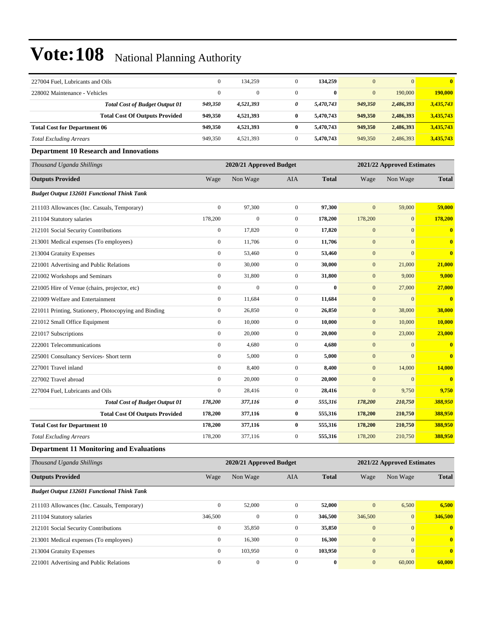| 227004 Fuel. Lubricants and Oils                      | $\boldsymbol{0}$ | 134,259                 | $\mathbf{0}$     | 134,259      | $\mathbf{0}$     | $\mathbf{0}$               | $\bf{0}$                |  |
|-------------------------------------------------------|------------------|-------------------------|------------------|--------------|------------------|----------------------------|-------------------------|--|
| 228002 Maintenance - Vehicles                         | $\boldsymbol{0}$ | $\Omega$                | $\overline{0}$   | $\bf{0}$     | $\mathbf{0}$     | 190,000                    | 190,000                 |  |
| <b>Total Cost of Budget Output 01</b>                 | 949,350          | 4,521,393               | 0                | 5,470,743    | 949,350          | 2,486,393                  | 3,435,743               |  |
| <b>Total Cost Of Outputs Provided</b>                 | 949,350          | 4,521,393               | $\bf{0}$         | 5,470,743    | 949,350          | 2,486,393                  | 3,435,743               |  |
| <b>Total Cost for Department 06</b>                   | 949,350          | 4,521,393               | $\bf{0}$         | 5,470,743    | 949,350          | 2,486,393                  | 3,435,743               |  |
| <b>Total Excluding Arrears</b>                        | 949,350          | 4,521,393               | $\boldsymbol{0}$ | 5,470,743    | 949,350          | 2,486,393                  | 3,435,743               |  |
| <b>Department 10 Research and Innovations</b>         |                  |                         |                  |              |                  |                            |                         |  |
| Thousand Uganda Shillings                             |                  | 2020/21 Approved Budget |                  |              |                  | 2021/22 Approved Estimates |                         |  |
| <b>Outputs Provided</b>                               | Wage             | Non Wage                | AIA              | <b>Total</b> | Wage             | Non Wage                   | <b>Total</b>            |  |
| <b>Budget Output 132601 Functional Think Tank</b>     |                  |                         |                  |              |                  |                            |                         |  |
| 211103 Allowances (Inc. Casuals, Temporary)           | $\boldsymbol{0}$ | 97,300                  | $\mathbf{0}$     | 97,300       | $\boldsymbol{0}$ | 59,000                     | 59,000                  |  |
| 211104 Statutory salaries                             | 178,200          | $\boldsymbol{0}$        | $\boldsymbol{0}$ | 178,200      | 178,200          | $\boldsymbol{0}$           | 178,200                 |  |
| 212101 Social Security Contributions                  | $\boldsymbol{0}$ | 17,820                  | $\boldsymbol{0}$ | 17,820       | $\boldsymbol{0}$ | $\boldsymbol{0}$           | $\mathbf{0}$            |  |
| 213001 Medical expenses (To employees)                | $\boldsymbol{0}$ | 11,706                  | $\boldsymbol{0}$ | 11,706       | $\boldsymbol{0}$ | $\mathbf{0}$               | $\bf{0}$                |  |
| 213004 Gratuity Expenses                              | $\boldsymbol{0}$ | 53,460                  | $\mathbf{0}$     | 53,460       | $\mathbf{0}$     | $\mathbf{0}$               | $\bf{0}$                |  |
| 221001 Advertising and Public Relations               | $\boldsymbol{0}$ | 30,000                  | $\mathbf{0}$     | 30,000       | $\mathbf{0}$     | 21,000                     | 21,000                  |  |
| 221002 Workshops and Seminars                         | $\boldsymbol{0}$ | 31,800                  | $\boldsymbol{0}$ | 31,800       | $\mathbf{0}$     | 9,000                      | 9,000                   |  |
| 221005 Hire of Venue (chairs, projector, etc)         | $\boldsymbol{0}$ | $\boldsymbol{0}$        | $\boldsymbol{0}$ | $\bf{0}$     | $\mathbf{0}$     | 27,000                     | 27,000                  |  |
| 221009 Welfare and Entertainment                      | $\boldsymbol{0}$ | 11,684                  | $\boldsymbol{0}$ | 11,684       | $\mathbf{0}$     | $\mathbf{0}$               | $\bf{0}$                |  |
| 221011 Printing, Stationery, Photocopying and Binding | $\boldsymbol{0}$ | 26,850                  | $\mathbf{0}$     | 26,850       | $\mathbf{0}$     | 38,000                     | 38,000                  |  |
| 221012 Small Office Equipment                         | $\boldsymbol{0}$ | 10,000                  | $\mathbf{0}$     | 10,000       | $\mathbf{0}$     | 10,000                     | 10,000                  |  |
| 221017 Subscriptions                                  | $\boldsymbol{0}$ | 20,000                  | $\boldsymbol{0}$ | 20,000       | $\mathbf{0}$     | 23,000                     | 23,000                  |  |
| 222001 Telecommunications                             | $\boldsymbol{0}$ | 4,680                   | $\boldsymbol{0}$ | 4,680        | $\mathbf{0}$     | $\boldsymbol{0}$           | $\bf{0}$                |  |
| 225001 Consultancy Services- Short term               | $\boldsymbol{0}$ | 5,000                   | $\boldsymbol{0}$ | 5,000        | $\mathbf{0}$     | $\mathbf{0}$               | $\overline{\mathbf{0}}$ |  |
| 227001 Travel inland                                  | $\boldsymbol{0}$ | 8,400                   | $\mathbf{0}$     | 8,400        | $\mathbf{0}$     | 14,000                     | 14,000                  |  |
| 227002 Travel abroad                                  | $\boldsymbol{0}$ | 20,000                  | $\mathbf{0}$     | 20,000       | $\mathbf{0}$     | $\mathbf{0}$               | $\mathbf{0}$            |  |
| 227004 Fuel, Lubricants and Oils                      | $\boldsymbol{0}$ | 28,416                  | $\boldsymbol{0}$ | 28,416       | $\mathbf{0}$     | 9,750                      | 9,750                   |  |
| <b>Total Cost of Budget Output 01</b>                 | 178,200          | 377,116                 | 0                | 555,316      | 178,200          | 210,750                    | 388,950                 |  |
| <b>Total Cost Of Outputs Provided</b>                 | 178,200          | 377,116                 | $\bf{0}$         | 555,316      | 178,200          | 210,750                    | 388,950                 |  |
| <b>Total Cost for Department 10</b>                   | 178,200          | 377,116                 | $\bf{0}$         | 555,316      | 178,200          | 210,750                    | 388,950                 |  |
| <b>Total Excluding Arrears</b>                        | 178,200          | 377,116                 | $\boldsymbol{0}$ | 555,316      | 178,200          | 210,750                    | 388,950                 |  |
| <b>Department 11 Monitoring and Evaluations</b>       |                  |                         |                  |              |                  |                            |                         |  |
| Thousand Uganda Shillings                             |                  | 2020/21 Approved Budget |                  |              |                  | 2021/22 Approved Estimates |                         |  |
| <b>Outputs Provided</b>                               | Wage             | Non Wage                | AIA              | <b>Total</b> | Wage             | Non Wage                   | <b>Total</b>            |  |
| <b>Budget Output 132601 Functional Think Tank</b>     |                  |                         |                  |              |                  |                            |                         |  |
| 211103 Allowances (Inc. Casuals, Temporary)           | $\boldsymbol{0}$ | 52,000                  | $\mathbf{0}$     | 52,000       | $\mathbf{0}$     | 6,500                      | 6,500                   |  |
| 211104 Statutory salaries                             | 346,500          | $\boldsymbol{0}$        | $\mathbf{0}$     | 346,500      | 346,500          | $\mathbf{0}$               | 346,500                 |  |
| 212101 Social Security Contributions                  | $\boldsymbol{0}$ | 35,850                  | $\boldsymbol{0}$ | 35,850       | $\boldsymbol{0}$ | $\boldsymbol{0}$           | $\bf{0}$                |  |
| 213001 Medical expenses (To employees)                | $\boldsymbol{0}$ | 16,300                  | $\boldsymbol{0}$ | 16,300       | $\boldsymbol{0}$ | $\boldsymbol{0}$           | $\bf{0}$                |  |
| 213004 Gratuity Expenses                              | $\boldsymbol{0}$ | 103,950                 | $\overline{0}$   | 103,950      | $\mathbf{0}$     | $\mathbf{0}$               | $\bf{0}$                |  |
| 221001 Advertising and Public Relations               | $\boldsymbol{0}$ | $\boldsymbol{0}$        | $\boldsymbol{0}$ | $\bf{0}$     | $\boldsymbol{0}$ | 60,000                     | 60,000                  |  |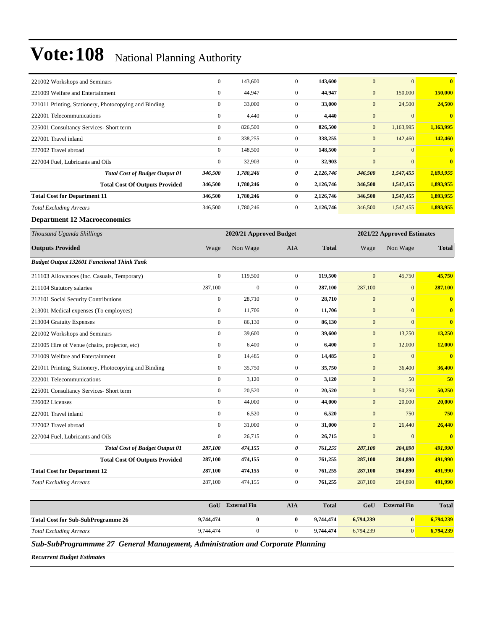| 221002 Workshops and Seminars                         | $\boldsymbol{0}$ | 143,600                 | $\boldsymbol{0}$ | 143,600      | $\mathbf{0}$     | $\mathbf{0}$               | $\bf{0}$                |  |
|-------------------------------------------------------|------------------|-------------------------|------------------|--------------|------------------|----------------------------|-------------------------|--|
| 221009 Welfare and Entertainment                      | $\mathbf{0}$     | 44,947                  | $\boldsymbol{0}$ | 44,947       | $\mathbf{0}$     | 150,000                    | 150,000                 |  |
| 221011 Printing, Stationery, Photocopying and Binding | $\boldsymbol{0}$ | 33,000                  | $\boldsymbol{0}$ | 33,000       | $\mathbf{0}$     | 24,500                     | 24,500                  |  |
| 222001 Telecommunications                             | $\boldsymbol{0}$ | 4,440                   | $\boldsymbol{0}$ | 4,440        | $\mathbf{0}$     | $\mathbf{0}$               | $\overline{\mathbf{0}}$ |  |
| 225001 Consultancy Services- Short term               | $\boldsymbol{0}$ | 826,500                 | $\mathbf{0}$     | 826,500      | $\boldsymbol{0}$ | 1,163,995                  | 1,163,995               |  |
| 227001 Travel inland                                  | $\boldsymbol{0}$ | 338,255                 | $\boldsymbol{0}$ | 338,255      | $\mathbf{0}$     | 142,460                    | 142,460                 |  |
| 227002 Travel abroad                                  | $\boldsymbol{0}$ | 148,500                 | $\boldsymbol{0}$ | 148,500      | $\mathbf{0}$     | $\mathbf{0}$               | $\bf{0}$                |  |
| 227004 Fuel, Lubricants and Oils                      | $\boldsymbol{0}$ | 32,903                  | $\mathbf{0}$     | 32,903       | $\mathbf{0}$     | $\mathbf{0}$               | $\overline{\mathbf{0}}$ |  |
| <b>Total Cost of Budget Output 01</b>                 | 346,500          | 1,780,246               | 0                | 2,126,746    | 346,500          | 1,547,455                  | 1,893,955               |  |
| <b>Total Cost Of Outputs Provided</b>                 | 346,500          | 1,780,246               | $\bf{0}$         | 2,126,746    | 346,500          | 1,547,455                  | 1,893,955               |  |
| <b>Total Cost for Department 11</b>                   | 346,500          | 1,780,246               | $\bf{0}$         | 2,126,746    | 346,500          | 1,547,455                  | 1,893,955               |  |
| <b>Total Excluding Arrears</b>                        | 346,500          | 1,780,246               | $\boldsymbol{0}$ | 2,126,746    | 346,500          | 1,547,455                  | 1,893,955               |  |
| <b>Department 12 Macroeconomics</b>                   |                  |                         |                  |              |                  |                            |                         |  |
| Thousand Uganda Shillings                             |                  | 2020/21 Approved Budget |                  |              |                  | 2021/22 Approved Estimates |                         |  |
| <b>Outputs Provided</b>                               | Wage             | Non Wage                | AIA              | <b>Total</b> | Wage             | Non Wage                   | Total                   |  |
| <b>Budget Output 132601 Functional Think Tank</b>     |                  |                         |                  |              |                  |                            |                         |  |
| 211103 Allowances (Inc. Casuals, Temporary)           | $\boldsymbol{0}$ | 119,500                 | $\mathbf{0}$     | 119,500      | $\mathbf{0}$     | 45,750                     | 45,750                  |  |
| 211104 Statutory salaries                             | 287,100          | $\boldsymbol{0}$        | $\boldsymbol{0}$ | 287,100      | 287,100          | $\mathbf{0}$               | 287,100                 |  |
| 212101 Social Security Contributions                  | $\boldsymbol{0}$ | 28,710                  | $\mathbf{0}$     | 28,710       | $\boldsymbol{0}$ | $\boldsymbol{0}$           | $\bf{0}$                |  |
| 213001 Medical expenses (To employees)                | $\boldsymbol{0}$ | 11,706                  | $\boldsymbol{0}$ | 11,706       | $\boldsymbol{0}$ | $\overline{0}$             | $\bf{0}$                |  |
| 213004 Gratuity Expenses                              | $\boldsymbol{0}$ | 86,130                  | $\boldsymbol{0}$ | 86,130       | $\mathbf{0}$     | $\overline{0}$             | $\bf{0}$                |  |
| 221002 Workshops and Seminars                         | $\boldsymbol{0}$ | 39,600                  | $\boldsymbol{0}$ | 39,600       | $\mathbf{0}$     | 13,250                     | 13,250                  |  |
| 221005 Hire of Venue (chairs, projector, etc)         | $\boldsymbol{0}$ | 6,400                   | $\boldsymbol{0}$ | 6,400        | $\mathbf{0}$     | 12,000                     | 12,000                  |  |
| 221009 Welfare and Entertainment                      | $\boldsymbol{0}$ | 14,485                  | $\overline{0}$   | 14,485       | $\boldsymbol{0}$ | $\boldsymbol{0}$           | $\bf{0}$                |  |
| 221011 Printing, Stationery, Photocopying and Binding | $\boldsymbol{0}$ | 35,750                  | $\boldsymbol{0}$ | 35,750       | $\boldsymbol{0}$ | 36,400                     | 36,400                  |  |
| 222001 Telecommunications                             | $\boldsymbol{0}$ | 3,120                   | $\boldsymbol{0}$ | 3,120        | $\mathbf{0}$     | 50                         | 50                      |  |
| 225001 Consultancy Services- Short term               | $\boldsymbol{0}$ | 20,520                  | $\boldsymbol{0}$ | 20,520       | $\mathbf{0}$     | 50,250                     | 50,250                  |  |
| 226002 Licenses                                       | $\boldsymbol{0}$ | 44,000                  | $\boldsymbol{0}$ | 44,000       | $\mathbf{0}$     | 20,000                     | 20,000                  |  |
| 227001 Travel inland                                  | $\boldsymbol{0}$ | 6,520                   | $\mathbf{0}$     | 6,520        | $\mathbf{0}$     | 750                        | 750                     |  |
| 227002 Travel abroad                                  | $\Omega$         | 31,000                  | $\overline{0}$   | 31,000       | $\boldsymbol{0}$ | 26,440                     | 26,440                  |  |
| 227004 Fuel, Lubricants and Oils                      | $\boldsymbol{0}$ | 26,715                  | $\boldsymbol{0}$ | 26,715       | $\boldsymbol{0}$ | $\boldsymbol{0}$           | $\bf{0}$                |  |
| <b>Total Cost of Budget Output 01</b>                 | 287,100          | 474,155                 | 0                | 761,255      | 287,100          | 204,890                    | 491,990                 |  |
| <b>Total Cost Of Outputs Provided</b>                 | 287,100          | 474,155                 | $\bf{0}$         | 761,255      | 287,100          | 204,890                    | 491,990                 |  |
| <b>Total Cost for Department 12</b>                   | 287,100          | 474,155                 | $\bf{0}$         | 761,255      | 287,100          | 204,890                    | 491,990                 |  |
| <b>Total Excluding Arrears</b>                        | 287,100          | 474,155                 | $\boldsymbol{0}$ | 761,255      | 287,100          | 204,890                    | 491,990                 |  |
|                                                       |                  |                         |                  |              |                  |                            |                         |  |

|                                           | GoU       | <b>External Fin</b> | AIA | <b>Total</b> | GoU       | <b>External Fin</b> | <b>Total</b> |
|-------------------------------------------|-----------|---------------------|-----|--------------|-----------|---------------------|--------------|
| <b>Total Cost for Sub-SubProgramme 26</b> | 9,744,474 |                     |     | 9.744.474    | 6,794,239 |                     | 6,794,239    |
| <b>Total Excluding Arrears</b>            | 9.744.474 |                     |     | 9,744,474    | 6.794.239 |                     | 6,794,239    |

*Sub-SubProgrammme 27 General Management, Administration and Corporate Planning*

*Recurrent Budget Estimates*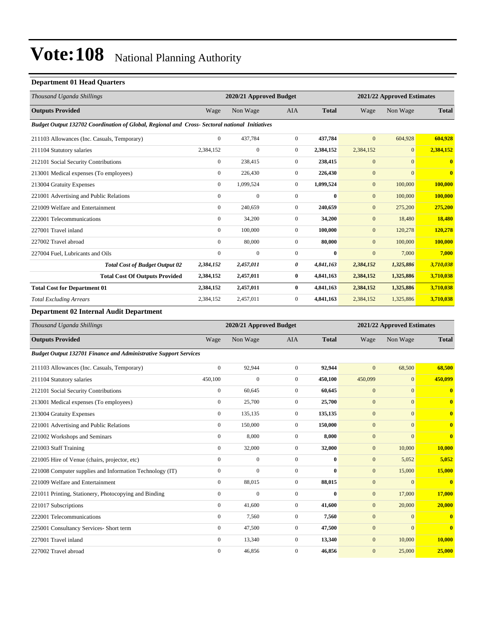#### **Department 01 Head Quarters**

| Thousand Uganda Shillings                                                                      |                  | 2020/21 Approved Budget |                |              |              | 2021/22 Approved Estimates |              |  |
|------------------------------------------------------------------------------------------------|------------------|-------------------------|----------------|--------------|--------------|----------------------------|--------------|--|
| <b>Outputs Provided</b>                                                                        | Wage             | Non Wage                | <b>AIA</b>     | <b>Total</b> | Wage         | Non Wage                   | <b>Total</b> |  |
| Budget Output 132702 Coordination of Global, Regional and Cross- Sectoral national Initiatives |                  |                         |                |              |              |                            |              |  |
| 211103 Allowances (Inc. Casuals, Temporary)                                                    | $\overline{0}$   | 437,784                 | $\overline{0}$ | 437,784      | $\mathbf{0}$ | 604,928                    | 604,928      |  |
| 211104 Statutory salaries                                                                      | 2,384,152        | $\mathbf{0}$            | $\overline{0}$ | 2,384,152    | 2,384,152    | $\overline{0}$             | 2,384,152    |  |
| 212101 Social Security Contributions                                                           | $\boldsymbol{0}$ | 238,415                 | $\overline{0}$ | 238,415      | $\mathbf{0}$ | $\mathbf{0}$               |              |  |
| 213001 Medical expenses (To employees)                                                         | $\overline{0}$   | 226,430                 | $\overline{0}$ | 226,430      | $\mathbf{0}$ | $\mathbf{0}$               | $\bf{0}$     |  |
| 213004 Gratuity Expenses                                                                       | $\boldsymbol{0}$ | 1,099,524               | $\mathbf{0}$   | 1,099,524    | $\mathbf{0}$ | 100,000                    | 100,000      |  |
| 221001 Advertising and Public Relations                                                        | $\overline{0}$   | $\overline{0}$          | $\overline{0}$ | $\mathbf{0}$ | $\mathbf{0}$ | 100,000                    | 100,000      |  |
| 221009 Welfare and Entertainment                                                               | $\overline{0}$   | 240,659                 | $\overline{0}$ | 240,659      | $\mathbf{0}$ | 275,200                    | 275,200      |  |
| 222001 Telecommunications                                                                      | $\overline{0}$   | 34,200                  | $\overline{0}$ | 34,200       | $\mathbf{0}$ | 18,480                     | 18,480       |  |
| 227001 Travel inland                                                                           | $\mathbf{0}$     | 100,000                 | $\Omega$       | 100,000      | $\mathbf{0}$ | 120,278                    | 120,278      |  |
| 227002 Travel abroad                                                                           | $\Omega$         | 80,000                  | $\Omega$       | 80,000       | $\mathbf{0}$ | 100,000                    | 100,000      |  |
| 227004 Fuel, Lubricants and Oils                                                               | $\mathbf{0}$     | $\mathbf{0}$            | $\mathbf{0}$   | $\bf{0}$     | $\mathbf{0}$ | 7,000                      | 7,000        |  |
| <b>Total Cost of Budget Output 02</b>                                                          | 2,384,152        | 2,457,011               | 0              | 4,841,163    | 2,384,152    | 1,325,886                  | 3,710,038    |  |
| <b>Total Cost Of Outputs Provided</b>                                                          | 2,384,152        | 2,457,011               | $\bf{0}$       | 4,841,163    | 2,384,152    | 1,325,886                  | 3,710,038    |  |
| <b>Total Cost for Department 01</b>                                                            | 2,384,152        | 2,457,011               | $\bf{0}$       | 4,841,163    | 2,384,152    | 1,325,886                  | 3,710,038    |  |
| <b>Total Excluding Arrears</b>                                                                 | 2,384,152        | 2,457,011               | $\mathbf{0}$   | 4,841,163    | 2,384,152    | 1,325,886                  | 3,710,038    |  |
| Department 02 Internal Audit Department                                                        |                  |                         |                |              |              |                            |              |  |

*Thousand Uganda Shillings* **2020/21 Approved Budget 2021/22 Approved Estimates Outputs Provided** Wage Non Wage AIA **Total** Wage Non Wage **Total** *Budget Output 132701 Finance and Administrative Support Services* 211103 Allowances (Inc. Casuals, Temporary) 0 92,944 0 **92,944** 0 68,500 **68,500** 211104 Statutory salaries 450,100 0 0 **450,100** 450,099 0 **450,099** 212101 Social Security Contributions 0 60,645 0 **60,645** 0 0 **0** 213001 Medical expenses (To employees) 0 25,700 0 **25,700** 0 0 **0** 213004 Gratuity Expenses 0 135,135 0 **135,135** 0 0 **0** 221001 Advertising and Public Relations 0 150,000 0 **150,000** 0 0 **0** 221002 Workshops and Seminars 0 8,000 0 **8,000** 0 0 **0** 221003 Staff Training 0 32,000 0 **32,000** 0 10,000 **10,000** 221005 Hire of Venue (chairs, projector, etc) 0 0 0 **0** 0 5,052 **5,052** 221008 Computer supplies and Information Technology (IT) 0 0 0 **0** 0 15,000 **15,000** 221009 Welfare and Entertainment 0 88,015 0 **88,015** 0 0 **0** 221011 Printing, Stationery, Photocopying and Binding 0 0 0 **0** 0 17,000 **17,000** 221017 Subscriptions 0 41,600 0 **41,600** 0 20,000 **20,000** 222001 Telecommunications 0 7,560 0 **7,560** 0 0 **0** 225001 Consultancy Services- Short term 0 47,500 0 **47,500** 0 0 **0** 227001 Travel inland 0 13,340 0 **13,340** 0 10,000 **10,000** 227002 Travel abroad 0 46,856 0 **46,856** 0 25,000 **25,000**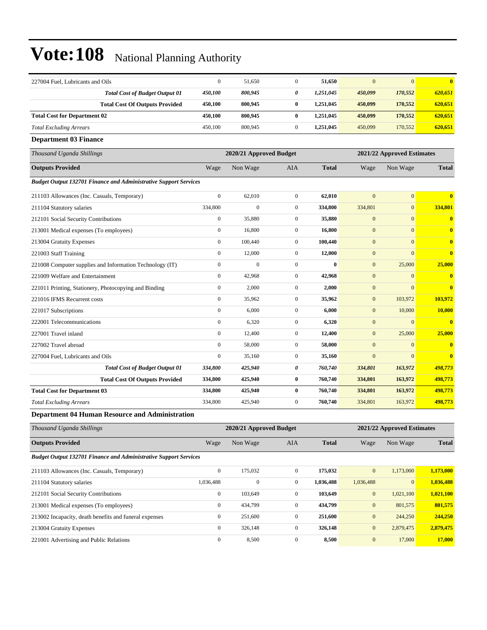| 227004 Fuel, Lubricants and Oils                                        | $\mathbf{0}$     | 51,650                  | $\Omega$         | 51,650       | $\mathbf{0}$ | $\mathbf{0}$               | $\overline{\mathbf{0}}$ |
|-------------------------------------------------------------------------|------------------|-------------------------|------------------|--------------|--------------|----------------------------|-------------------------|
| <b>Total Cost of Budget Output 01</b>                                   | 450,100          | 800,945                 | 0                | 1,251,045    | 450,099      | 170,552                    | 620,651                 |
| <b>Total Cost Of Outputs Provided</b>                                   | 450,100          | 800,945                 | $\bf{0}$         | 1,251,045    | 450,099      | 170,552                    | 620,651                 |
| <b>Total Cost for Department 02</b>                                     | 450,100          | 800,945                 | 0                | 1,251,045    | 450,099      | 170,552                    | 620,651                 |
| <b>Total Excluding Arrears</b>                                          | 450,100          | 800,945                 | $\boldsymbol{0}$ | 1,251,045    | 450,099      | 170,552                    | 620,651                 |
| <b>Department 03 Finance</b>                                            |                  |                         |                  |              |              |                            |                         |
| Thousand Uganda Shillings                                               |                  | 2020/21 Approved Budget |                  |              |              | 2021/22 Approved Estimates |                         |
| <b>Outputs Provided</b>                                                 | Wage             | Non Wage                | AIA              | <b>Total</b> | Wage         | Non Wage                   | <b>Total</b>            |
| <b>Budget Output 132701 Finance and Administrative Support Services</b> |                  |                         |                  |              |              |                            |                         |
| 211103 Allowances (Inc. Casuals, Temporary)                             | $\mathbf{0}$     | 62,010                  | $\mathbf{0}$     | 62,010       | $\mathbf{0}$ | $\mathbf{0}$               | $\overline{\mathbf{0}}$ |
| 211104 Statutory salaries                                               | 334,800          | $\overline{0}$          | $\boldsymbol{0}$ | 334,800      | 334,801      | $\overline{0}$             | 334,801                 |
| 212101 Social Security Contributions                                    | $\mathbf{0}$     | 35,880                  | $\overline{0}$   | 35,880       | $\mathbf{0}$ | $\overline{0}$             | $\overline{\mathbf{0}}$ |
| 213001 Medical expenses (To employees)                                  | $\mathbf{0}$     | 16,800                  | $\boldsymbol{0}$ | 16,800       | $\mathbf{0}$ | $\overline{0}$             | $\bf{0}$                |
| 213004 Gratuity Expenses                                                | $\mathbf{0}$     | 100,440                 | $\mathbf{0}$     | 100,440      | $\mathbf{0}$ | $\mathbf{0}$               | $\overline{\mathbf{0}}$ |
| 221003 Staff Training                                                   | $\mathbf{0}$     | 12,000                  | $\overline{0}$   | 12,000       | $\mathbf{0}$ | $\overline{0}$             | $\overline{\mathbf{0}}$ |
| 221008 Computer supplies and Information Technology (IT)                | $\mathbf{0}$     | $\overline{0}$          | $\overline{0}$   | $\bf{0}$     | $\mathbf{0}$ | 25,000                     | 25,000                  |
| 221009 Welfare and Entertainment                                        | $\mathbf{0}$     | 42,968                  | $\overline{0}$   | 42,968       | $\mathbf{0}$ | $\overline{0}$             | $\bf{0}$                |
| 221011 Printing, Stationery, Photocopying and Binding                   | $\boldsymbol{0}$ | 2,000                   | $\boldsymbol{0}$ | 2,000        | $\mathbf{0}$ | $\overline{0}$             | $\mathbf{0}$            |
| 221016 IFMS Recurrent costs                                             | $\mathbf{0}$     | 35,962                  | $\overline{0}$   | 35,962       | $\mathbf{0}$ | 103,972                    | 103,972                 |
| 221017 Subscriptions                                                    | $\overline{0}$   | 6,000                   | $\boldsymbol{0}$ | 6,000        | $\mathbf{0}$ | 10,000                     | <b>10,000</b>           |
| 222001 Telecommunications                                               | $\mathbf{0}$     | 6,320                   | $\overline{0}$   | 6,320        | $\mathbf{0}$ | $\mathbf{0}$               | $\overline{\mathbf{0}}$ |
| 227001 Travel inland                                                    | $\mathbf{0}$     | 12,400                  | $\mathbf{0}$     | 12,400       | $\mathbf{0}$ | 25,000                     | 25,000                  |
| 227002 Travel abroad                                                    | $\boldsymbol{0}$ | 58,000                  | $\boldsymbol{0}$ | 58,000       | $\mathbf{0}$ | $\mathbf{0}$               | $\overline{\mathbf{0}}$ |
| 227004 Fuel, Lubricants and Oils                                        | $\mathbf{0}$     | 35,160                  | $\boldsymbol{0}$ | 35,160       | $\mathbf{0}$ | $\mathbf{0}$               | $\overline{\mathbf{0}}$ |
| <b>Total Cost of Budget Output 01</b>                                   | 334,800          | 425,940                 | 0                | 760,740      | 334,801      | 163,972                    | 498,773                 |
| <b>Total Cost Of Outputs Provided</b>                                   | 334,800          | 425,940                 | $\bf{0}$         | 760,740      | 334,801      | 163,972                    | 498,773                 |
| <b>Total Cost for Department 03</b>                                     | 334,800          | 425,940                 | $\bf{0}$         | 760,740      | 334,801      | 163,972                    | 498,773                 |
| <b>Total Excluding Arrears</b>                                          | 334,800          | 425,940                 | $\mathbf{0}$     | 760,740      | 334,801      | 163,972                    | 498,773                 |
| <b>Department 04 Human Resource and Administration</b>                  |                  |                         |                  |              |              |                            |                         |

| Thousand Uganda Shillings                                               |                  | 2020/21 Approved Budget |                |              |              | 2021/22 Approved Estimates |              |  |  |
|-------------------------------------------------------------------------|------------------|-------------------------|----------------|--------------|--------------|----------------------------|--------------|--|--|
| <b>Outputs Provided</b>                                                 | Wage             | Non Wage                | <b>AIA</b>     | <b>Total</b> | Wage         | Non Wage                   | <b>Total</b> |  |  |
| <b>Budget Output 132701 Finance and Administrative Support Services</b> |                  |                         |                |              |              |                            |              |  |  |
| 211103 Allowances (Inc. Casuals, Temporary)                             | $\mathbf{0}$     | 175,032                 | $\overline{0}$ | 175,032      | $\mathbf{0}$ | 1,173,000                  | 1,173,000    |  |  |
| 211104 Statutory salaries                                               | 1,036,488        | $\mathbf{0}$            | 0              | 1,036,488    | 1,036,488    | $\vert 0 \vert$            | 1,036,488    |  |  |
| 212101 Social Security Contributions                                    | $\mathbf{0}$     | 103,649                 | $\mathbf{0}$   | 103,649      | $\mathbf{0}$ | 1,021,100                  | 1,021,100    |  |  |
| 213001 Medical expenses (To employees)                                  | $\boldsymbol{0}$ | 434,799                 | $\mathbf{0}$   | 434,799      | $\mathbf{0}$ | 801,575                    | 801,575      |  |  |
| 213002 Incapacity, death benefits and funeral expenses                  | $\mathbf{0}$     | 251,600                 | $\overline{0}$ | 251,600      | $\mathbf{0}$ | 244,250                    | 244,250      |  |  |
| 213004 Gratuity Expenses                                                | $\boldsymbol{0}$ | 326,148                 | $\overline{0}$ | 326,148      | $\mathbf{0}$ | 2,879,475                  | 2,879,475    |  |  |
| 221001 Advertising and Public Relations                                 | $\mathbf{0}$     | 8,500                   | $\mathbf{0}$   | 8,500        | $\mathbf{0}$ | 17,000                     | 17,000       |  |  |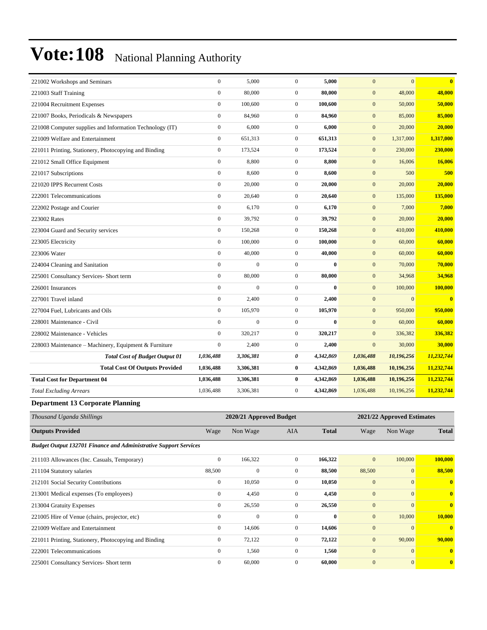| 221002 Workshops and Seminars                            | $\mathbf{0}$     | 5,000            | $\mathbf{0}$     | 5,000     | $\mathbf{0}$     | $\overline{0}$ | $\overline{\mathbf{0}}$ |
|----------------------------------------------------------|------------------|------------------|------------------|-----------|------------------|----------------|-------------------------|
| 221003 Staff Training                                    | $\mathbf{0}$     | 80,000           | $\mathbf{0}$     | 80,000    | $\mathbf{0}$     | 48,000         | 48,000                  |
| 221004 Recruitment Expenses                              | $\boldsymbol{0}$ | 100,600          | $\boldsymbol{0}$ | 100,600   | $\mathbf{0}$     | 50,000         | 50,000                  |
| 221007 Books, Periodicals & Newspapers                   | $\mathbf{0}$     | 84,960           | $\mathbf{0}$     | 84,960    | $\mathbf{0}$     | 85,000         | 85,000                  |
| 221008 Computer supplies and Information Technology (IT) | $\mathbf{0}$     | 6,000            | $\boldsymbol{0}$ | 6,000     | $\mathbf{0}$     | 20,000         | 20,000                  |
| 221009 Welfare and Entertainment                         | $\boldsymbol{0}$ | 651,313          | $\boldsymbol{0}$ | 651,313   | $\mathbf{0}$     | 1,317,000      | 1,317,000               |
| 221011 Printing, Stationery, Photocopying and Binding    | $\boldsymbol{0}$ | 173,524          | $\boldsymbol{0}$ | 173,524   | $\mathbf{0}$     | 230,000        | 230,000                 |
| 221012 Small Office Equipment                            | $\mathbf{0}$     | 8,800            | $\overline{0}$   | 8,800     | $\mathbf{0}$     | 16,006         | 16,006                  |
| 221017 Subscriptions                                     | $\boldsymbol{0}$ | 8,600            | $\boldsymbol{0}$ | 8,600     | $\mathbf{0}$     | 500            | 500                     |
| 221020 IPPS Recurrent Costs                              | $\mathbf{0}$     | 20,000           | $\overline{0}$   | 20,000    | $\mathbf{0}$     | 20,000         | 20,000                  |
| 222001 Telecommunications                                | $\mathbf{0}$     | 20,640           | $\overline{0}$   | 20,640    | $\mathbf{0}$     | 135,000        | 135,000                 |
| 222002 Postage and Courier                               | $\mathbf{0}$     | 6,170            | $\mathbf{0}$     | 6,170     | $\mathbf{0}$     | 7,000          | 7,000                   |
| 223002 Rates                                             | $\mathbf{0}$     | 39,792           | $\boldsymbol{0}$ | 39,792    | $\mathbf{0}$     | 20,000         | 20,000                  |
| 223004 Guard and Security services                       | $\mathbf{0}$     | 150,268          | $\boldsymbol{0}$ | 150,268   | $\mathbf{0}$     | 410,000        | 410,000                 |
| 223005 Electricity                                       | $\mathbf{0}$     | 100,000          | $\mathbf{0}$     | 100,000   | $\mathbf{0}$     | 60,000         | 60,000                  |
| 223006 Water                                             | $\boldsymbol{0}$ | 40,000           | $\boldsymbol{0}$ | 40,000    | $\mathbf{0}$     | 60,000         | 60,000                  |
| 224004 Cleaning and Sanitation                           | $\mathbf{0}$     | $\theta$         | $\mathbf{0}$     | $\bf{0}$  | $\mathbf{0}$     | 70,000         | 70,000                  |
| 225001 Consultancy Services- Short term                  | $\mathbf{0}$     | 80,000           | $\overline{0}$   | 80,000    | $\mathbf{0}$     | 34,968         | 34,968                  |
| 226001 Insurances                                        | $\mathbf{0}$     | $\boldsymbol{0}$ | $\overline{0}$   | $\bf{0}$  | $\boldsymbol{0}$ | 100,000        | 100,000                 |
| 227001 Travel inland                                     | $\mathbf{0}$     | 2,400            | $\overline{0}$   | 2,400     | $\mathbf{0}$     | $\overline{0}$ | $\overline{\mathbf{0}}$ |
| 227004 Fuel. Lubricants and Oils                         | $\mathbf{0}$     | 105,970          | $\mathbf{0}$     | 105,970   | $\mathbf{0}$     | 950,000        | 950,000                 |
| 228001 Maintenance - Civil                               | $\mathbf{0}$     | $\overline{0}$   | $\boldsymbol{0}$ | $\bf{0}$  | $\mathbf{0}$     | 60,000         | 60,000                  |
| 228002 Maintenance - Vehicles                            | $\mathbf{0}$     | 320,217          | $\mathbf{0}$     | 320,217   | $\mathbf{0}$     | 336,382        | 336,382                 |
| 228003 Maintenance - Machinery, Equipment & Furniture    | $\mathbf{0}$     | 2,400            | $\overline{0}$   | 2,400     | $\mathbf{0}$     | 30,000         | 30,000                  |
| <b>Total Cost of Budget Output 01</b>                    | 1,036,488        | 3,306,381        | 0                | 4,342,869 | 1,036,488        | 10,196,256     | 11,232,744              |
| <b>Total Cost Of Outputs Provided</b>                    | 1,036,488        | 3,306,381        | $\bf{0}$         | 4,342,869 | 1,036,488        | 10,196,256     | 11,232,744              |
| <b>Total Cost for Department 04</b>                      | 1,036,488        | 3,306,381        | $\bf{0}$         | 4,342,869 | 1,036,488        | 10,196,256     | 11,232,744              |
| <b>Total Excluding Arrears</b>                           | 1,036,488        | 3,306,381        | $\boldsymbol{0}$ | 4,342,869 | 1,036,488        | 10,196,256     | 11,232,744              |
| <b>Department 13 Corporate Planning</b>                  |                  |                  |                  |           |                  |                |                         |

| Thousand Uganda Shillings                                               |                | 2020/21 Approved Budget |              |              |                  | 2021/22 Approved Estimates |              |
|-------------------------------------------------------------------------|----------------|-------------------------|--------------|--------------|------------------|----------------------------|--------------|
| <b>Outputs Provided</b>                                                 | Wage           | Non Wage                | <b>AIA</b>   | <b>Total</b> | Wage             | Non Wage                   | <b>Total</b> |
| <b>Budget Output 132701 Finance and Administrative Support Services</b> |                |                         |              |              |                  |                            |              |
| 211103 Allowances (Inc. Casuals, Temporary)                             | $\mathbf{0}$   | 166,322                 | $\mathbf{0}$ | 166,322      | $\mathbf{0}$     | 100,000                    | 100,000      |
| 211104 Statutory salaries                                               | 88,500         | $\mathbf{0}$            | $\mathbf{0}$ | 88,500       | 88,500           | $\mathbf{0}$               | 88,500       |
| 212101 Social Security Contributions                                    | $\overline{0}$ | 10,050                  | $\mathbf{0}$ | 10,050       | $\overline{0}$   | $\mathbf{0}$               | $\mathbf{0}$ |
| 213001 Medical expenses (To employees)                                  | $\mathbf{0}$   | 4,450                   | $\mathbf{0}$ | 4,450        | $\boldsymbol{0}$ | $\mathbf{0}$               | $\mathbf{0}$ |
| 213004 Gratuity Expenses                                                | $\mathbf{0}$   | 26,550                  | $\mathbf{0}$ | 26,550       | $\overline{0}$   | $\Omega$                   | $\mathbf{0}$ |
| 221005 Hire of Venue (chairs, projector, etc)                           | $\Omega$       | $\mathbf{0}$            | $\Omega$     | $\mathbf{0}$ | $\mathbf{0}$     | 10,000                     | 10,000       |
| 221009 Welfare and Entertainment                                        | $\overline{0}$ | 14,606                  | $\mathbf{0}$ | 14,606       | $\overline{0}$   | $\mathbf{0}$               | $\bf{0}$     |
| 221011 Printing, Stationery, Photocopying and Binding                   | $\overline{0}$ | 72,122                  | $\mathbf{0}$ | 72,122       | $\boldsymbol{0}$ | 90,000                     | 90,000       |
| 222001 Telecommunications                                               | $\mathbf{0}$   | 1,560                   | $\mathbf{0}$ | 1,560        | $\overline{0}$   | $\mathbf{0}$               | $\bf{0}$     |
| 225001 Consultancy Services- Short term                                 | $\Omega$       | 60,000                  | $\Omega$     | 60,000       | $\overline{0}$   | $\mathbf{0}$               | $\mathbf{0}$ |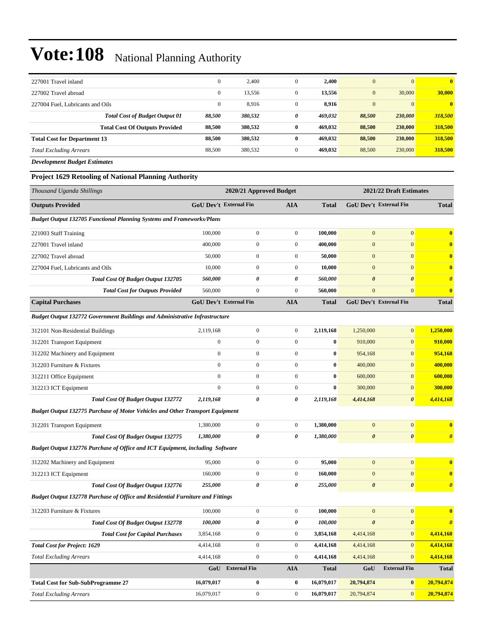| 227001 Travel inland                  | $\mathbf{0}$ | 2,400   | $\boldsymbol{0}$ | 2,400   | $\mathbf{0}$ | $\mathbf{0}$ | $\mathbf{0}$ |
|---------------------------------------|--------------|---------|------------------|---------|--------------|--------------|--------------|
| 227002 Travel abroad                  | $\mathbf{0}$ | 13,556  | $\boldsymbol{0}$ | 13,556  | $\mathbf{0}$ | 30,000       | 30,000       |
| 227004 Fuel. Lubricants and Oils      | $\mathbf{0}$ | 8,916   | 0                | 8,916   | $\mathbf{0}$ | $\mathbf{0}$ | $\bf{0}$     |
| <b>Total Cost of Budget Output 01</b> | 88,500       | 380,532 | 0                | 469,032 | 88,500       | 230,000      | 318,500      |
| <b>Total Cost Of Outputs Provided</b> | 88.500       | 380,532 | $\bf{0}$         | 469,032 | 88,500       | 230,000      | 318,500      |
| <b>Total Cost for Department 13</b>   | 88.500       | 380,532 | $\mathbf{0}$     | 469,032 | 88,500       | 230,000      | 318,500      |
| <b>Total Excluding Arrears</b>        | 88,500       | 380,532 | 0                | 469,032 | 88,500       | 230,000      | 318,500      |

*Development Budget Estimates*

#### **Project 1629 Retooling of National Planning Authority**

| Thousand Uganda Shillings                                                            |                  | 2020/21 Approved Budget       |                  |              |                       | 2021/22 Draft Estimates |                       |
|--------------------------------------------------------------------------------------|------------------|-------------------------------|------------------|--------------|-----------------------|-------------------------|-----------------------|
| <b>Outputs Provided</b>                                                              |                  | <b>GoU Dev't External Fin</b> | AIA              | <b>Total</b> |                       | GoU Dev't External Fin  | <b>Total</b>          |
| <b>Budget Output 132705 Functional Planning Systems and Frameworks/Plans</b>         |                  |                               |                  |              |                       |                         |                       |
| 221003 Staff Training                                                                | 100,000          | $\mathbf{0}$                  | $\boldsymbol{0}$ | 100,000      | $\mathbf{0}$          | $\overline{0}$          | $\bf{0}$              |
| 227001 Travel inland                                                                 | 400,000          | $\boldsymbol{0}$              | $\overline{0}$   | 400,000      | $\boldsymbol{0}$      | $\overline{0}$          | $\bf{0}$              |
| 227002 Travel abroad                                                                 | 50,000           | $\boldsymbol{0}$              | $\boldsymbol{0}$ | 50,000       | $\mathbf{0}$          | $\mathbf{0}$            | $\bf{0}$              |
| 227004 Fuel, Lubricants and Oils                                                     | 10,000           | $\boldsymbol{0}$              | $\boldsymbol{0}$ | 10,000       | $\boldsymbol{0}$      | $\mathbf{0}$            | $\bf{0}$              |
| Total Cost Of Budget Output 132705                                                   | 560,000          | 0                             | 0                | 560,000      | $\boldsymbol{\theta}$ | $\boldsymbol{\theta}$   | $\boldsymbol{\theta}$ |
| <b>Total Cost for Outputs Provided</b>                                               | 560,000          | $\boldsymbol{0}$              | $\boldsymbol{0}$ | 560,000      | $\mathbf{0}$          | $\overline{0}$          | $\bf{0}$              |
| <b>Capital Purchases</b>                                                             |                  | GoU Dev't External Fin        | <b>AIA</b>       | <b>Total</b> |                       | GoU Dev't External Fin  | <b>Total</b>          |
| <b>Budget Output 132772 Government Buildings and Administrative Infrastructure</b>   |                  |                               |                  |              |                       |                         |                       |
| 312101 Non-Residential Buildings                                                     | 2,119,168        | $\boldsymbol{0}$              | $\boldsymbol{0}$ | 2,119,168    | 1,250,000             | $\overline{0}$          | 1,250,000             |
| 312201 Transport Equipment                                                           | $\boldsymbol{0}$ | $\boldsymbol{0}$              | $\boldsymbol{0}$ | $\bf{0}$     | 910,000               | $\overline{0}$          | 910,000               |
| 312202 Machinery and Equipment                                                       | $\mathbf{0}$     | $\overline{0}$                | $\overline{0}$   | $\bf{0}$     | 954,168               | $\overline{0}$          | 954,168               |
| 312203 Furniture & Fixtures                                                          | $\mathbf{0}$     | $\boldsymbol{0}$              | $\overline{0}$   | $\bf{0}$     | 400,000               | $\mathbf{0}$            | 400,000               |
| 312211 Office Equipment                                                              | $\mathbf{0}$     | $\boldsymbol{0}$              | $\boldsymbol{0}$ | $\bf{0}$     | 600,000               | $\mathbf{0}$            | 600,000               |
| 312213 ICT Equipment                                                                 | $\mathbf{0}$     | $\boldsymbol{0}$              | $\boldsymbol{0}$ | $\bf{0}$     | 300,000               | $\boldsymbol{0}$        | 300,000               |
| <b>Total Cost Of Budget Output 132772</b>                                            | 2,119,168        | $\boldsymbol{\theta}$         | 0                | 2,119,168    | 4,414,168             | $\boldsymbol{\theta}$   | 4,414,168             |
| <b>Budget Output 132775 Purchase of Motor Vehicles and Other Transport Equipment</b> |                  |                               |                  |              |                       |                         |                       |
| 312201 Transport Equipment                                                           | 1,380,000        | $\boldsymbol{0}$              | $\boldsymbol{0}$ | 1,380,000    | $\mathbf{0}$          | $\mathbf{0}$            | $\bf{0}$              |
| Total Cost Of Budget Output 132775                                                   | 1,380,000        | 0                             | 0                | 1,380,000    | $\boldsymbol{\theta}$ | $\boldsymbol{\theta}$   | $\boldsymbol{\theta}$ |
| Budget Output 132776 Purchase of Office and ICT Equipment, including Software        |                  |                               |                  |              |                       |                         |                       |
| 312202 Machinery and Equipment                                                       | 95,000           | $\boldsymbol{0}$              | $\boldsymbol{0}$ | 95,000       | $\boldsymbol{0}$      | $\overline{0}$          | $\bf{0}$              |
| 312213 ICT Equipment                                                                 | 160,000          | $\boldsymbol{0}$              | $\overline{0}$   | 160,000      | $\overline{0}$        | $\overline{0}$          | $\bf{0}$              |
| Total Cost Of Budget Output 132776                                                   | 255,000          | 0                             | 0                | 255,000      | $\pmb{\theta}$        | $\boldsymbol{\theta}$   | $\boldsymbol{\theta}$ |
| Budget Output 132778 Purchase of Office and Residential Furniture and Fittings       |                  |                               |                  |              |                       |                         |                       |
| 312203 Furniture & Fixtures                                                          | 100,000          | $\boldsymbol{0}$              | $\boldsymbol{0}$ | 100,000      | $\mathbf{0}$          | $\overline{0}$          | $\bf{0}$              |
| Total Cost Of Budget Output 132778                                                   | 100,000          | 0                             | 0                | 100,000      | $\boldsymbol{\theta}$ | $\pmb{\theta}$          | $\boldsymbol{\theta}$ |
| <b>Total Cost for Capital Purchases</b>                                              | 3,854,168        | $\boldsymbol{0}$              | $\overline{0}$   | 3,854,168    | 4,414,168             | $\boldsymbol{0}$        | 4,414,168             |
| <b>Total Cost for Project: 1629</b>                                                  | 4,414,168        | $\boldsymbol{0}$              | $\boldsymbol{0}$ | 4,414,168    | 4,414,168             | $\overline{0}$          | 4,414,168             |
| <b>Total Excluding Arrears</b>                                                       | 4,414,168        | $\boldsymbol{0}$              | $\overline{0}$   | 4,414,168    | 4,414,168             | $\overline{0}$          | 4,414,168             |
|                                                                                      | GoU              | <b>External Fin</b>           | <b>AIA</b>       | <b>Total</b> | GoU                   | <b>External Fin</b>     | <b>Total</b>          |
| <b>Total Cost for Sub-SubProgramme 27</b>                                            | 16,079,017       | 0                             | $\bf{0}$         | 16,079,017   | 20,794,874            | $\boldsymbol{0}$        | 20,794,874            |
| <b>Total Excluding Arrears</b>                                                       | 16,079,017       | $\overline{0}$                | $\overline{0}$   | 16,079,017   | 20,794,874            | $\overline{0}$          | 20,794,874            |